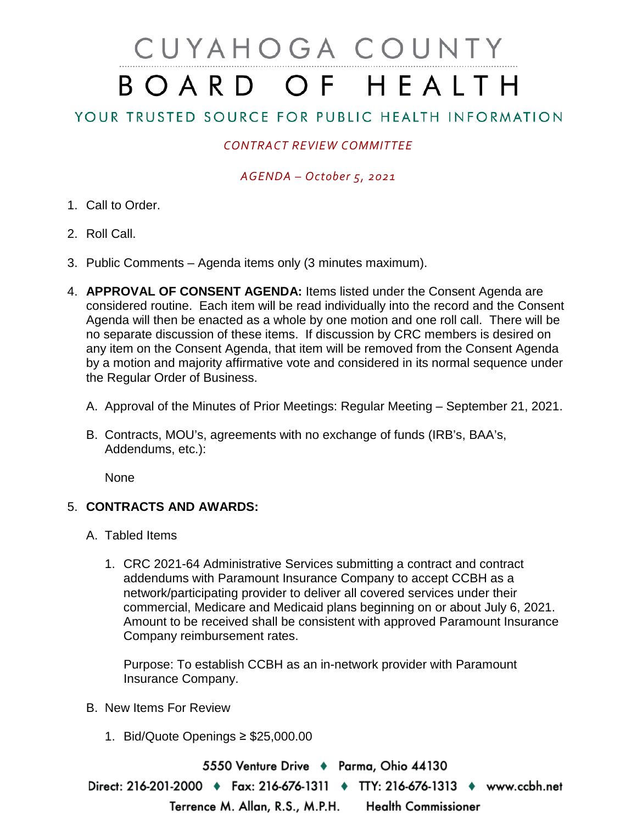# CUYAHOGA COUNTY BOARD OF HEALTH

## YOUR TRUSTED SOURCE FOR PUBLIC HEALTH INFORMATION

## *CONTRACT REVIEW COMMITTEE*

### *AGENDA – October 5, 2021*

- 1. Call to Order.
- 2. Roll Call.
- 3. Public Comments Agenda items only (3 minutes maximum).
- 4. **APPROVAL OF CONSENT AGENDA:** Items listed under the Consent Agenda are considered routine. Each item will be read individually into the record and the Consent Agenda will then be enacted as a whole by one motion and one roll call. There will be no separate discussion of these items. If discussion by CRC members is desired on any item on the Consent Agenda, that item will be removed from the Consent Agenda by a motion and majority affirmative vote and considered in its normal sequence under the Regular Order of Business.
	- A. Approval of the Minutes of Prior Meetings: Regular Meeting September 21, 2021.
	- B. Contracts, MOU's, agreements with no exchange of funds (IRB's, BAA's, Addendums, etc.):

None

#### 5. **CONTRACTS AND AWARDS:**

- A. Tabled Items
	- 1. CRC 2021-64 Administrative Services submitting a contract and contract addendums with Paramount Insurance Company to accept CCBH as a network/participating provider to deliver all covered services under their commercial, Medicare and Medicaid plans beginning on or about July 6, 2021. Amount to be received shall be consistent with approved Paramount Insurance Company reimbursement rates.

Purpose: To establish CCBH as an in-network provider with Paramount Insurance Company.

- B. New Items For Review
	- 1. Bid/Quote Openings ≥ \$25,000.00

5550 Venture Drive + Parma, Ohio 44130 Direct: 216-201-2000 ♦ Fax: 216-676-1311 ♦ TTY: 216-676-1313 ♦ www.ccbh.net Terrence M. Allan, R.S., M.P.H. **Health Commissioner**